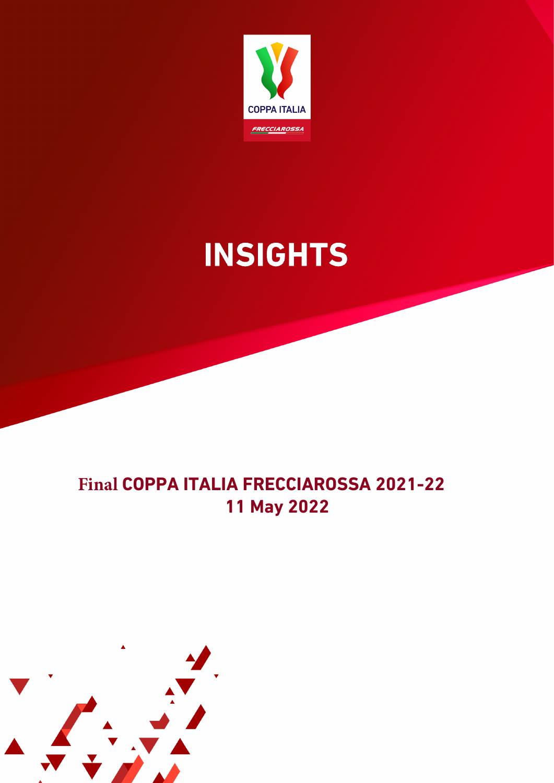

# **INSIGHTS**

### **Final COPPA ITALIA FRECCIAROSSA 2021-22 11 May 2022**

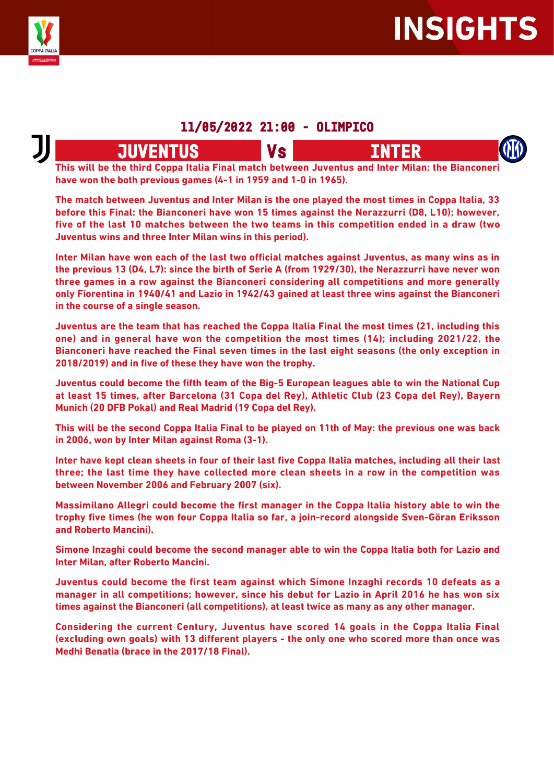

### **11/05/2022 21:00 - OLIMPICO**

## **JUVENTUS** Vs

**This will be the third Coppa Italia Final match between Juventus and Inter Milan: the Bianconeri have won the both previous games (4-1 in 1959 and 1-0 in 1965).**

**The match between Juventus and Inter Milan is the one played the most times in Coppa Italia, 33 before this Final: the Bianconeri have won 15 times against the Nerazzurri (D8, L10); however, five of the last 10 matches between the two teams in this competition ended in a draw (two Juventus wins and three Inter Milan wins in this period).**

**Inter Milan have won each of the last two official matches against Juventus, as many wins as in the previous 13 (D4, L7): since the birth of Serie A (from 1929/30), the Nerazzurri have never won three games in a row against the Bianconeri considering all competitions and more generally only Fiorentina in 1940/41 and Lazio in 1942/43 gained at least three wins against the Bianconeri in the course of a single season.**

**Juventus are the team that has reached the Coppa Italia Final the most times (21, including this one) and in general have won the competition the most times (14); including 2021/22, the Bianconeri have reached the Final seven times in the last eight seasons (the only exception in 2018/2019) and in five of these they have won the trophy.**

**Juventus could become the fifth team of the Big-5 European leagues able to win the National Cup at least 15 times, after Barcelona (31 Copa del Rey), Athletic Club (23 Copa del Rey), Bayern Munich (20 DFB Pokal) and Real Madrid (19 Copa del Rey).**

**This will be the second Coppa Italia Final to be played on 11th of May: the previous one was back in 2006, won by Inter Milan against Roma (3-1).**

**Inter have kept clean sheets in four of their last five Coppa Italia matches, including all their last three; the last time they have collected more clean sheets in a row in the competition was between November 2006 and February 2007 (six).**

**Massimilano Allegri could become the first manager in the Coppa Italia history able to win the trophy five times (he won four Coppa Italia so far, a join-record alongside Sven-Göran Eriksson and Roberto Mancini).**

**Simone Inzaghi could become the second manager able to win the Coppa Italia both for Lazio and Inter Milan, after Roberto Mancini.**

**Juventus could become the first team against which Simone Inzaghi records 10 defeats as a manager in all competitions; however, since his debut for Lazio in April 2016 he has won six times against the Bianconeri (all competitions), at least twice as many as any other manager.**

**Considering the current Century, Juventus have scored 14 goals in the Coppa Italia Final (excluding own goals) with 13 different players - the only one who scored more than once was Medhi Benatia (brace in the 2017/18 Final).**